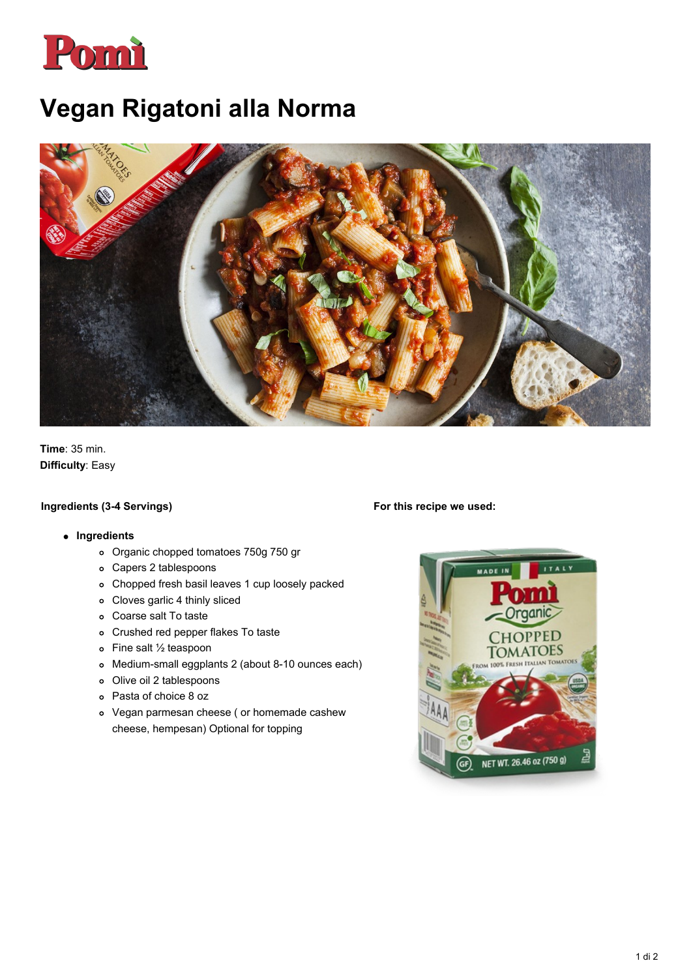

# **Vegan Rigatoni alla Norma**



**Time**: 35 min. **Difficulty**: Easy

### **Ingredients (3-4 Servings)**

#### **For this recipe we used:**

#### **Ingredients**

- Organic chopped tomatoes 750g 750 gr
- Capers 2 tablespoons
- Chopped fresh basil leaves 1 cup loosely packed
- Cloves garlic 4 thinly sliced
- Coarse salt To taste
- Crushed red pepper flakes To taste
- Fine salt ½ teaspoon
- Medium-small eggplants 2 (about 8-10 ounces each)
- Olive oil 2 tablespoons
- Pasta of choice 8 oz
- Vegan parmesan cheese ( or homemade cashew cheese, hempesan) Optional for topping